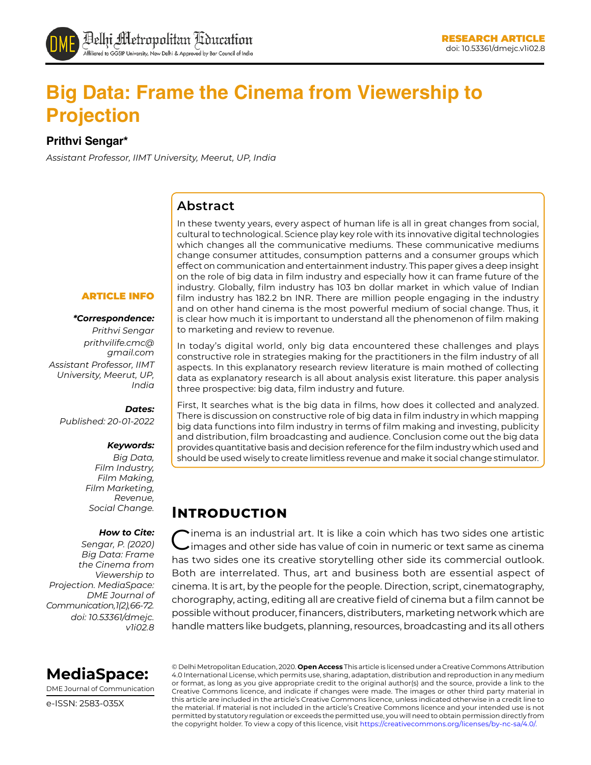# **Big Data: Frame the Cinema from Viewership to Projection**

**Prithvi Sengar\*** 

*Assistant Professor, IIMT University, Meerut, UP, India*

#### **Abstract**

In these twenty years, every aspect of human life is all in great changes from social, cultural to technological. Science play key role with its innovative digital technologies which changes all the communicative mediums. These communicative mediums change consumer attitudes, consumption patterns and a consumer groups which effect on communication and entertainment industry. This paper gives a deep insight on the role of big data in film industry and especially how it can frame future of the industry. Globally, film industry has 103 bn dollar market in which value of Indian film industry has 182.2 bn INR. There are million people engaging in the industry and on other hand cinema is the most powerful medium of social change. Thus, it is clear how much it is important to understand all the phenomenon of film making to marketing and review to revenue.

In today's digital world, only big data encountered these challenges and plays constructive role in strategies making for the practitioners in the film industry of all aspects. In this explanatory research review literature is main mothed of collecting data as explanatory research is all about analysis exist literature. this paper analysis three prospective: big data, film industry and future.

First, It searches what is the big data in films, how does it collected and analyzed. There is discussion on constructive role of big data in film industry in which mapping big data functions into film industry in terms of film making and investing, publicity and distribution, film broadcasting and audience. Conclusion come out the big data provides quantitative basis and decision reference for the film industry which used and should be used wisely to create limitless revenue and make it social change stimulator.

# **Introduction**

Cinema is an industrial art. It is like a coin which has two sides one artistic images and other side has value of coin in numeric or text same as cinema has two sides one its creative storytelling other side its commercial outlook. Both are interrelated. Thus, art and business both are essential aspect of cinema. It is art, by the people for the people. Direction, script, cinematography, chorography, acting, editing all are creative field of cinema but a film cannot be possible without producer, financers, distributers, marketing network which are handle matters like budgets, planning, resources, broadcasting and its all others

#### ARTICLE INFO

#### *\*Correspondence:*

*Prithvi Sengar prithvilife.cmc@ gmail.com Assistant Professor, IIMT University, Meerut, UP, India*

#### *Dates:*

*Published: 20-01-2022*

#### *Keywords:*

*Big Data, Film Industry, Film Making, Film Marketing, Revenue, Social Change.*

#### *How to Cite:*

*Sengar, P. (2020) Big Data: Frame the Cinema from Viewership to Projection. MediaSpace: DME Journal of Communication, 1(2), 66-72. doi: 10.53361/dmejc. v1i02.8*



DME Journal of Communication

e-ISSN: 2583-035X

© Delhi Metropolitan Education, 2020. **Open Access** This article is licensed under a Creative Commons Attribution 4.0 International License, which permits use, sharing, adaptation, distribution and reproduction in any medium or format, as long as you give appropriate credit to the original author(s) and the source, provide a link to the Creative Commons licence, and indicate if changes were made. The images or other third party material in this article are included in the article's Creative Commons licence, unless indicated otherwise in a credit line to the material. If material is not included in the article's Creative Commons licence and your intended use is not permitted by statutory regulation or exceeds the permitted use, you will need to obtain permission directly from the copyright holder. To view a copy of this licence, visit https://creativecommons.org/licenses/by-nc-sa/4.0/.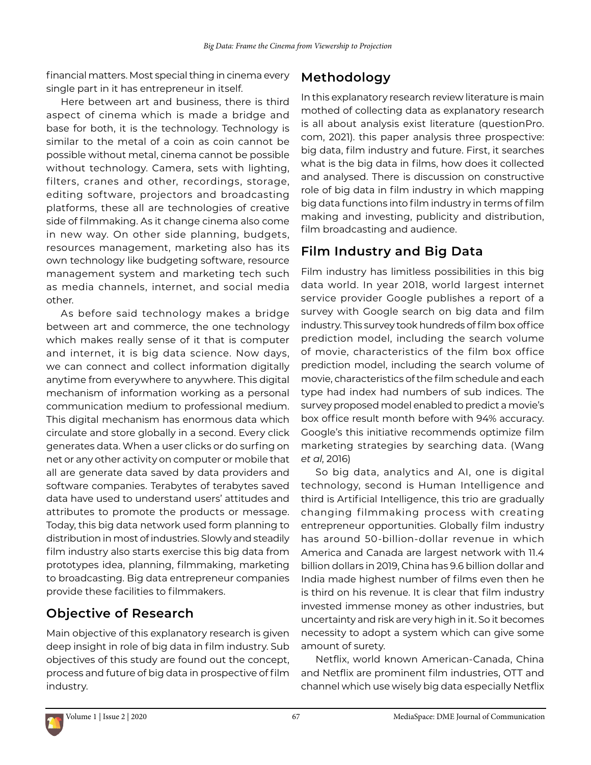financial matters. Most special thing in cinema every single part in it has entrepreneur in itself.

Here between art and business, there is third aspect of cinema which is made a bridge and base for both, it is the technology. Technology is similar to the metal of a coin as coin cannot be possible without metal, cinema cannot be possible without technology. Camera, sets with lighting, filters, cranes and other, recordings, storage, editing software, projectors and broadcasting platforms, these all are technologies of creative side of filmmaking. As it change cinema also come in new way. On other side planning, budgets, resources management, marketing also has its own technology like budgeting software, resource management system and marketing tech such as media channels, internet, and social media other.

As before said technology makes a bridge between art and commerce, the one technology which makes really sense of it that is computer and internet, it is big data science. Now days, we can connect and collect information digitally anytime from everywhere to anywhere. This digital mechanism of information working as a personal communication medium to professional medium. This digital mechanism has enormous data which circulate and store globally in a second. Every click generates data. When a user clicks or do surfing on net or any other activity on computer or mobile that all are generate data saved by data providers and software companies. Terabytes of terabytes saved data have used to understand users' attitudes and attributes to promote the products or message. Today, this big data network used form planning to distribution in most of industries. Slowly and steadily film industry also starts exercise this big data from prototypes idea, planning, filmmaking, marketing to broadcasting. Big data entrepreneur companies provide these facilities to filmmakers.

### **Objective of Research**

Main objective of this explanatory research is given deep insight in role of big data in film industry. Sub objectives of this study are found out the concept, process and future of big data in prospective of film industry.

### **Methodology**

In this explanatory research review literature is main mothed of collecting data as explanatory research is all about analysis exist literature (questionPro. com, 2021). this paper analysis three prospective: big data, film industry and future. First, it searches what is the big data in films, how does it collected and analysed. There is discussion on constructive role of big data in film industry in which mapping big data functions into film industry in terms of film making and investing, publicity and distribution, film broadcasting and audience.

### **Film Industry and Big Data**

Film industry has limitless possibilities in this big data world. In year 2018, world largest internet service provider Google publishes a report of a survey with Google search on big data and film industry. This survey took hundreds of film box office prediction model, including the search volume of movie, characteristics of the film box office prediction model, including the search volume of movie, characteristics of the film schedule and each type had index had numbers of sub indices. The survey proposed model enabled to predict a movie's box office result month before with 94% accuracy. Google's this initiative recommends optimize film marketing strategies by searching data. (Wang *et al*, 2016)

So big data, analytics and AI, one is digital technology, second is Human Intelligence and third is Artificial Intelligence, this trio are gradually changing filmmaking process with creating entrepreneur opportunities. Globally film industry has around 50-billion-dollar revenue in which America and Canada are largest network with 11.4 billion dollars in 2019, China has 9.6 billion dollar and India made highest number of films even then he is third on his revenue. It is clear that film industry invested immense money as other industries, but uncertainty and risk are very high in it. So it becomes necessity to adopt a system which can give some amount of surety.

Netflix, world known American-Canada, China and Netflix are prominent film industries, OTT and channel which use wisely big data especially Netflix

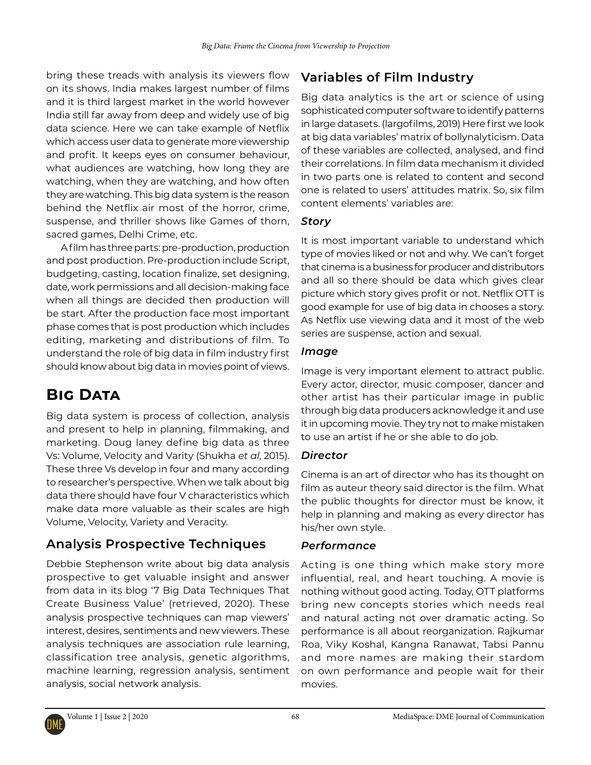bring these treads with analysis its viewers flow on its shows. India makes largest number of films and it is third largest market in the world however India still far away from deep and widely use of big data science. Here we can take example of Netflix which access user data to generate more viewership and profit. It keeps eyes on consumer behaviour, what audiences are watching, how long they are watching, when they are watching, and how often they are watching. This big data system is the reason behind the Netflix air most of the horror, crime, suspense, and thriller shows like Games of thorn, sacred games, Delhi Crime, etc.

A film has three parts: pre-production, production and post production. Pre-production include Script, budgeting, casting, location finalize, set designing, date, work permissions and all decision-making face when all things are decided then production will be start. After the production face most important phase comes that is post production which includes editing, marketing and distributions of film. To understand the role of big data in film industry first should know about big data in movies point of views.

# **Big Data**

Big data system is process of collection, analysis and present to help in planning, filmmaking, and marketing. Doug laney define big data as three Vs: Volume, Velocity and Varity (Shukha *et al*, 2015). These three Vs develop in four and many according to researcher's perspective. When we talk about big data there should have four V characteristics which make data more valuable as their scales are high Volume, Velocity, Variety and Veracity.

## **Analysis Prospective Techniques**

Debbie Stephenson write about big data analysis prospective to get valuable insight and answer from data in its blog '7 Big Data Techniques That Create Business Value' (retrieved, 2020). These analysis prospective techniques can map viewers' interest, desires, sentiments and new viewers. These analysis techniques are association rule learning, classification tree analysis, genetic algorithms, machine learning, regression analysis, sentiment analysis, social network analysis.

# **Variables of Film Industry**

Big data analytics is the art or science of using sophisticated computer software to identify patterns in large datasets. [\(largofilms,](http://largofilms.ch/author/largofilms/) 2019) Here first we look at big data variables' matrix of bollynalyticism. Data of these variables are collected, analysed, and find their correlations. In film data mechanism it divided in two parts one is related to content and second one is related to users' attitudes matrix. So, six film content elements' variables are:

#### *Story*

It is most important variable to understand which type of movies liked or not and why. We can't forget that cinema is a business for producer and distributors and all so there should be data which gives clear picture which story gives profit or not. Netflix OTT is good example for use of big data in chooses a story. As Netflix use viewing data and it most of the web series are suspense, action and sexual.

#### *Image*

Image is very important element to attract public. Every actor, director, music composer, dancer and other artist has their particular image in public through big data producers acknowledge it and use it in upcoming movie. They try not to make mistaken to use an artist if he or she able to do job.

#### *Director*

Cinema is an art of director who has its thought on film as auteur theory said director is the film. What the public thoughts for director must be know, it help in planning and making as every director has his/her own style.

### *Performance*

Acting is one thing which make story more influential, real, and heart touching. A movie is nothing without good acting. Today, OTT platforms bring new concepts stories which needs real and natural acting not over dramatic acting. So performance is all about reorganization. Rajkumar Roa, Viky Koshal, Kangna Ranawat, Tabsi Pannu and more names are making their stardom on own performance and people wait for their movies.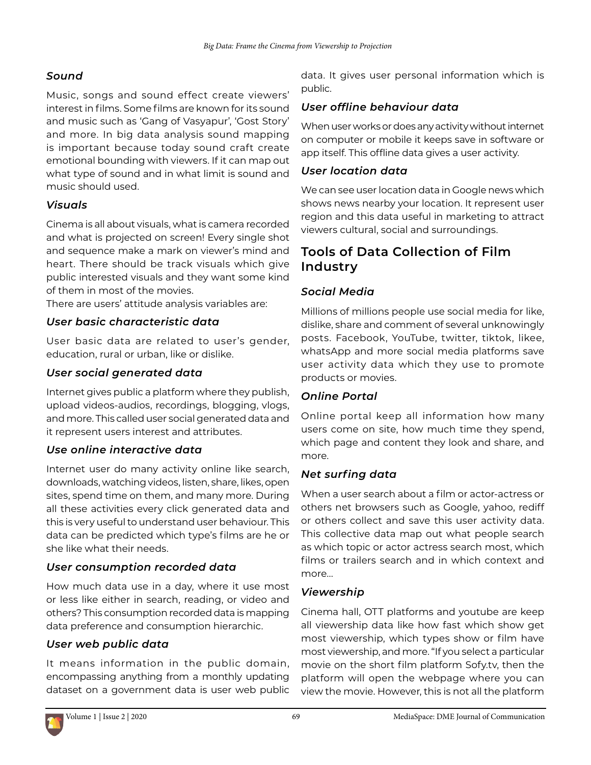#### *Sound*

Music, songs and sound effect create viewers' interest in films. Some films are known for its sound and music such as 'Gang of Vasyapur', 'Gost Story' and more. In big data analysis sound mapping is important because today sound craft create emotional bounding with viewers. If it can map out what type of sound and in what limit is sound and music should used.

#### *Visuals*

Cinema is all about visuals, what is camera recorded and what is projected on screen! Every single shot and sequence make a mark on viewer's mind and heart. There should be track visuals which give public interested visuals and they want some kind of them in most of the movies.

There are users' attitude analysis variables are:

#### *User basic characteristic data*

User basic data are related to user's gender, education, rural or urban, like or dislike.

#### *User social generated data*

Internet gives public a platform where they publish, upload videos-audios, recordings, blogging, vlogs, and more. This called user social generated data and it represent users interest and attributes.

#### *Use online interactive data*

Internet user do many activity online like search, downloads, watching videos, listen, share, likes, open sites, spend time on them, and many more. During all these activities every click generated data and this is very useful to understand user behaviour. This data can be predicted which type's films are he or she like what their needs.

#### *User consumption recorded data*

How much data use in a day, where it use most or less like either in search, reading, or video and others? This consumption recorded data is mapping data preference and consumption hierarchic.

#### *User web public data*

It means information in the public domain, encompassing anything from a monthly updating dataset on a government data is user web public data. It gives user personal information which is public.

#### *User offline behaviour data*

When user works or does any activity without internet on computer or mobile it keeps save in software or app itself. This offline data gives a user activity.

#### *User location data*

We can see user location data in Google news which shows news nearby your location. It represent user region and this data useful in marketing to attract viewers cultural, social and surroundings.

### **Tools of Data Collection of Film Industry**

#### *Social Media*

Millions of millions people use social media for like, dislike, share and comment of several unknowingly posts. Facebook, YouTube, twitter, tiktok, likee, whatsApp and more social media platforms save user activity data which they use to promote products or movies.

#### *Online Portal*

Online portal keep all information how many users come on site, how much time they spend, which page and content they look and share, and more.

#### *Net surfing data*

When a user search about a film or actor-actress or others net browsers such as Google, yahoo, rediff or others collect and save this user activity data. This collective data map out what people search as which topic or actor actress search most, which films or trailers search and in which context and more...

#### *Viewership*

Cinema hall, OTT platforms and youtube are keep all viewership data like how fast which show get most viewership, which types show or film have most viewership, and more. "If you select a particular movie on the [short film platform Sofy.tv,](https://sofy.tv/) then the platform will open the webpage where you can view the movie. However, this is not all the platform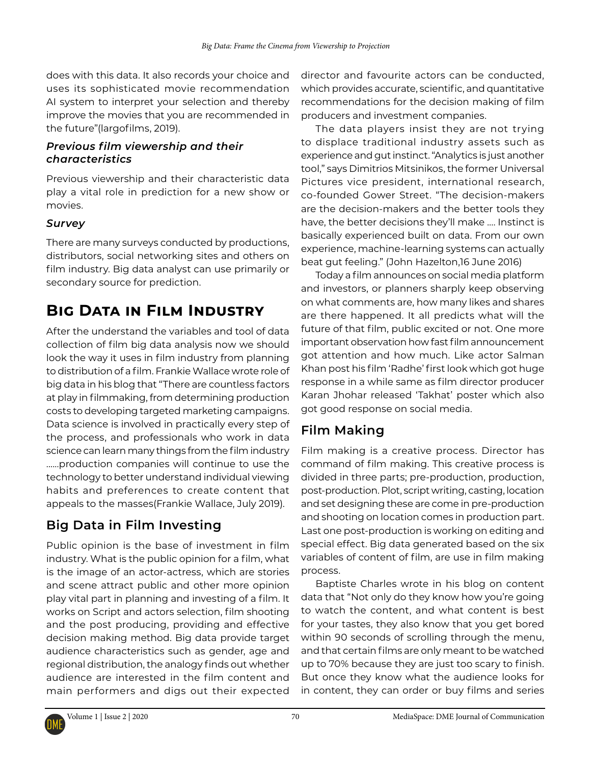does with this data. It also records your choice and uses its [sophisticated movie recommendation](https://sofy.tv/blog/sofy-tv-unveils-brand-new-technology-2018-locarno-film-festival/) [AI system](https://sofy.tv/blog/sofy-tv-unveils-brand-new-technology-2018-locarno-film-festival/) to interpret your selection and thereby improve the movies that you are recommended in the future"([largofilms,](http://largofilms.ch/author/largofilms/) 2019).

#### *Previous film viewership and their characteristics*

Previous viewership and their characteristic data play a vital role in prediction for a new show or movies.

#### *Survey*

There are many surveys conducted by productions, distributors, social networking sites and others on film industry. Big data analyst can use primarily or secondary source for prediction.

# **Big Data in Film Industry**

After the understand the variables and tool of data collection of film big data analysis now we should look the way it uses in film industry from planning to distribution of a film. Frankie Wallace wrote role of big data in his blog that "There are countless factors at play in filmmaking, from determining production costs to developing targeted marketing campaigns. Data science is involved in practically every step of the process, and professionals who work in data science can learn many things from the film industry ......production companies will continue to use the technology to better understand individual viewing habits and preferences to create content that appeals to the masses(Frankie Wallace, July 2019).

# **Big Data in Film Investing**

Public opinion is the base of investment in film industry. What is the public opinion for a film, what is the image of an actor-actress, which are stories and scene attract public and other more opinion play vital part in planning and investing of a film. It works on Script and actors selection, film shooting and the post producing, providing and effective decision making method. Big data provide target audience characteristics such as gender, age and regional distribution, the analogy finds out whether audience are interested in the film content and main performers and digs out their expected

director and favourite actors can be conducted, which provides accurate, scientific, and quantitative recommendations for the decision making of film producers and investment companies.

The data players insist they are not trying to displace traditional industry assets such as experience and gut instinct. "Analytics is just another tool," says Dimitrios Mitsinikos, the former Universal Pictures vice president, international research, co-founded Gower Street. "The decision-makers are the decision-makers and the better tools they have, the better decisions they'll make .... Instinct is basically experienced built on data. From our own experience, machine-learning systems can actually beat gut feeling." (John Hazelton,16 June 2016)

Today a film announces on social media platform and investors, or planners sharply keep observing on what comments are, how many likes and shares are there happened. It all predicts what will the future of that film, public excited or not. One more important observation how fast film announcement got attention and how much. Like actor Salman Khan post his film 'Radhe' first look which got huge response in a while same as film director producer Karan Jhohar released 'Takhat' poster which also got good response on social media.

### **Film Making**

Film making is a creative process. Director has command of film making. This creative process is divided in three parts; pre-production, production, post-production. Plot, script writing, casting, location and set designing these are come in pre-production and shooting on location comes in production part. Last one post-production is working on editing and special effect. Big data generated based on the six variables of content of film, are use in film making process.

Baptiste Charles wrote in his blog on content data that "Not only do they know how you're going to watch the content, and what content is best for your tastes, they also know that you get bored within 90 seconds of scrolling through the menu, and that certain films are only meant to be watched up to 70% because they are [just too scary to finish.](https://www.forbes.com/sites/bernardmarr/2018/04/18/netflix-used-big-data-to-identify-the-movies-that-are-too-scary-to-finish/#5260d7993990) But once they know what the audience looks for in content, they can order or buy films and series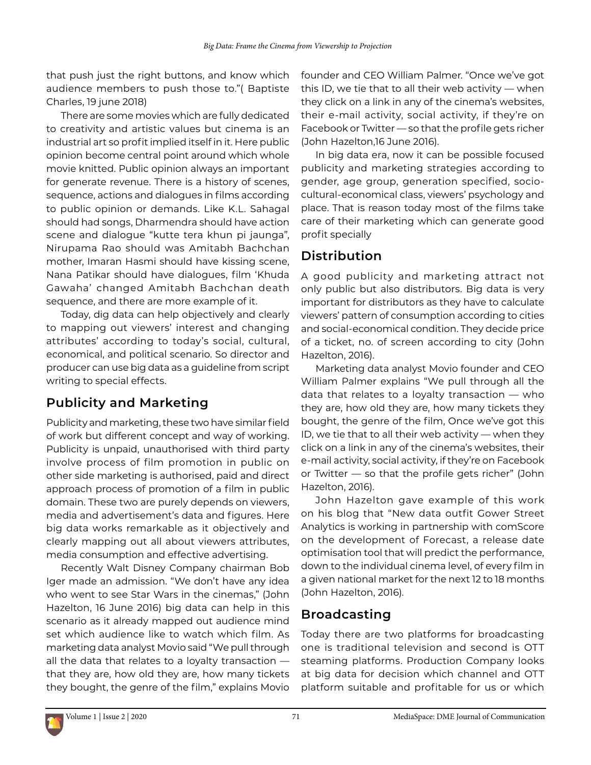that push just the right buttons, and know which audience members to push those to."( [Baptiste](https://www.raindance.org/author/baptistec/)  [Charles](https://www.raindance.org/author/baptistec/), 19 june 2018)

There are some movies which are fully dedicated to creativity and artistic values but cinema is an industrial art so profit implied itself in it. Here public opinion become central point around which whole movie knitted. Public opinion always an important for generate revenue. There is a history of scenes, sequence, actions and dialogues in films according to public opinion or demands. Like K.L. Sahagal should had songs, Dharmendra should have action scene and dialogue "kutte tera khun pi jaunga", Nirupama Rao should was Amitabh Bachchan mother, Imaran Hasmi should have kissing scene, Nana Patikar should have dialogues, film 'Khuda Gawaha' changed Amitabh Bachchan death sequence, and there are more example of it.

Today, dig data can help objectively and clearly to mapping out viewers' interest and changing attributes' according to today's social, cultural, economical, and political scenario. So director and producer can use big data as a guideline from script writing to special effects.

## **Publicity and Marketing**

Publicity and marketing, these two have similar field of work but different concept and way of working. Publicity is unpaid, unauthorised with third party involve process of film promotion in public on other side marketing is authorised, paid and direct approach process of promotion of a film in public domain. These two are purely depends on viewers, media and advertisement's data and figures. Here big data works remarkable as it objectively and clearly mapping out all about viewers attributes, media consumption and effective advertising.

Recently Walt Disney Company chairman Bob Iger made an admission. "We don't have any idea who went to see Star Wars in the cinemas," (John Hazelton, 16 June 2016) big data can help in this scenario as it already mapped out audience mind set which audience like to watch which film. As marketing data analyst Movio said "We pull through all the data that relates to a loyalty transaction that they are, how old they are, how many tickets they bought, the genre of the film," explains Movio founder and CEO William Palmer. "Once we've got this ID, we tie that to all their web activity — when they click on a link in any of the cinema's websites, their e-mail activity, social activity, if they're on Facebook or Twitter — so that the profile gets richer (John Hazelton,16 June 2016).

In big data era, now it can be possible focused publicity and marketing strategies according to gender, age group, generation specified, sociocultural-economical class, viewers' psychology and place. That is reason today most of the films take care of their marketing which can generate good profit specially

### **Distribution**

A good publicity and marketing attract not only public but also distributors. Big data is very important for distributors as they have to calculate viewers' pattern of consumption according to cities and social-economical condition. They decide price of a ticket, no. of screen according to city (John Hazelton, 2016).

Marketing data analyst Movio founder and CEO William Palmer explains "We pull through all the data that relates to a loyalty transaction — who they are, how old they are, how many tickets they bought, the genre of the film, Once we've got this ID, we tie that to all their web activity — when they click on a link in any of the cinema's websites, their e-mail activity, social activity, if they're on Facebook or Twitter — so that the profile gets richer" (John Hazelton, 2016).

John Hazelton gave example of this work on his blog that "New data outfit Gower Street Analytics is working in partnership with comScore on the development of Forecast, a release date optimisation tool that will predict the performance, down to the individual cinema level, of every film in a given national market for the next 12 to 18 months (John Hazelton, 2016).

### **Broadcasting**

Today there are two platforms for broadcasting one is traditional television and second is OTT steaming platforms. Production Company looks at big data for decision which channel and OTT platform suitable and profitable for us or which